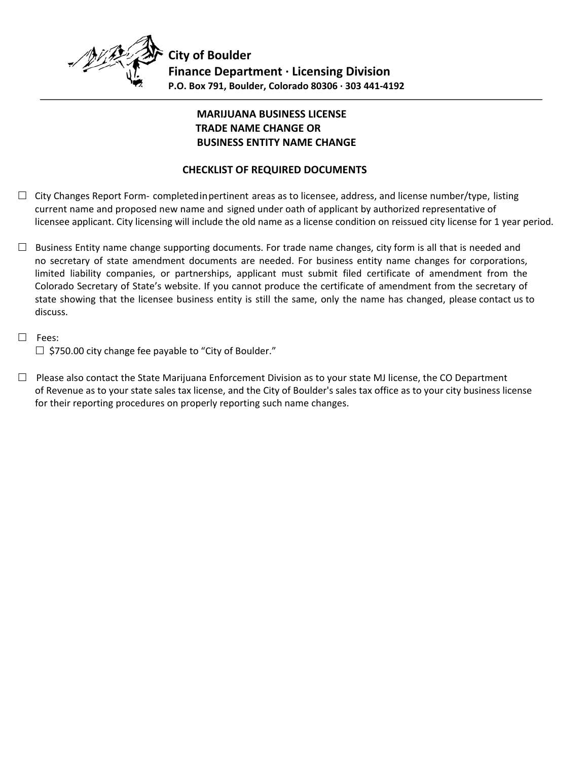

# **MARIJUANA BUSINESS LICENSE TRADE NAME CHANGE OR BUSINESS ENTITY NAME CHANGE**

## **CHECKLIST OF REQUIRED DOCUMENTS**

- $\Box$  City Changes Report Form- completed in pertinent areas as to licensee, address, and license number/type, listing current name and proposed new name and signed under oath of applicant by authorized representative of licensee applicant. City licensing will include the old name as a license condition on reissued city license for 1 year period.
- $\Box$  Business Entity name change supporting documents. For trade name changes, city form is all that is needed and no secretary of state amendment documents are needed. For business entity name changes for corporations, limited liability companies, or partnerships, applicant must submit filed certificate of amendment from the Colorado Secretary of State's website. If you cannot produce the certificate of amendment from the secretary of state showing that the licensee business entity is still the same, only the name has changed, please contact us to discuss.
- □ Fees:  $\Box$  \$750.00 city change fee payable to "City of Boulder."
- $\Box$  Please also contact the State Marijuana Enforcement Division as to your state MJ license, the CO Department of Revenue as to your state sales tax license, and the City of Boulder's sales tax office as to your city business license for their reporting procedures on properly reporting such name changes.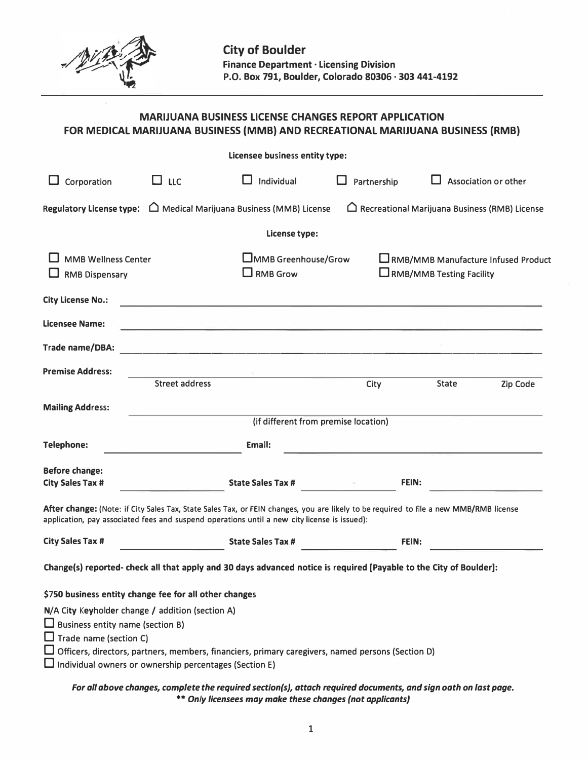

# **MARIJUANA BUSINESS LICENSE CHANGES REPORT APPLICATION FOR MEDICAL MARIJUANA BUSINESS (MMB) AND RECREATIONAL MARIJUANA BUSINESS (RMB)**

|                                                                                                                                                                                               |                       | Licensee business entity type:                                                                                         |                                                                                                                                       |                                                         |                                       |
|-----------------------------------------------------------------------------------------------------------------------------------------------------------------------------------------------|-----------------------|------------------------------------------------------------------------------------------------------------------------|---------------------------------------------------------------------------------------------------------------------------------------|---------------------------------------------------------|---------------------------------------|
| Corporation                                                                                                                                                                                   | $\Box$ LLC            | Individual                                                                                                             | Partnership                                                                                                                           |                                                         | Association or other                  |
| Regulatory License type: $\Box$ Medical Marijuana Business (MMB) License                                                                                                                      |                       |                                                                                                                        |                                                                                                                                       | $\bigcap$ Recreational Marijuana Business (RMB) License |                                       |
|                                                                                                                                                                                               |                       | License type:                                                                                                          |                                                                                                                                       |                                                         |                                       |
| <b>MMB Wellness Center</b><br><b>RMB Dispensary</b>                                                                                                                                           |                       | <b>LIMMB</b> Greenhouse/Grow<br>$\Box$ RMB Grow                                                                        |                                                                                                                                       | $\Box$ RMB/MMB Testing Facility                         | L RMB/MMB Manufacture Infused Product |
| <b>City License No.:</b>                                                                                                                                                                      |                       | <u> 1989 - Johann John Stone, mars et al. 1989 - John Stone, mars et al. 1989 - John Stone, mars et al. 1989 - Joh</u> |                                                                                                                                       |                                                         |                                       |
| Licensee Name:                                                                                                                                                                                |                       |                                                                                                                        |                                                                                                                                       |                                                         |                                       |
| Trade name/DBA:                                                                                                                                                                               |                       |                                                                                                                        |                                                                                                                                       |                                                         |                                       |
| <b>Premise Address:</b>                                                                                                                                                                       | <b>Street address</b> |                                                                                                                        | City                                                                                                                                  | <b>State</b>                                            | Zip Code                              |
| <b>Mailing Address:</b>                                                                                                                                                                       |                       |                                                                                                                        | (if different from premise location)                                                                                                  |                                                         |                                       |
| <b>Telephone:</b>                                                                                                                                                                             |                       | Email:                                                                                                                 |                                                                                                                                       |                                                         |                                       |
| <b>Before change:</b><br><b>City Sales Tax #</b>                                                                                                                                              |                       | <b>State Sales Tax #</b>                                                                                               |                                                                                                                                       | FEIN:                                                   |                                       |
| application, pay associated fees and suspend operations until a new city license is issued):                                                                                                  |                       |                                                                                                                        | After change: (Note: if City Sales Tax, State Sales Tax, or FEIN changes, you are likely to be required to file a new MMB/RMB license |                                                         |                                       |
| <b>City Sales Tax #</b>                                                                                                                                                                       |                       | <b>State Sales Tax #</b>                                                                                               |                                                                                                                                       | FEIN:                                                   |                                       |
|                                                                                                                                                                                               |                       |                                                                                                                        | Change(s) reported- check all that apply and 30 days advanced notice is required [Payable to the City of Boulder]:                    |                                                         |                                       |
| \$750 business entity change fee for all other changes                                                                                                                                        |                       |                                                                                                                        |                                                                                                                                       |                                                         |                                       |
| N/A City Keyholder change / addition (section A)<br>$\Box$ Business entity name (section B)<br>$\Box$ Trade name (section C)<br>$\Box$ Individual owners or ownership percentages (Section E) |                       |                                                                                                                        | $\Box$ Officers, directors, partners, members, financiers, primary caregivers, named persons (Section D)                              |                                                         |                                       |
|                                                                                                                                                                                               |                       |                                                                                                                        |                                                                                                                                       |                                                         |                                       |

## *For all above changes, complete the required sectlon(s), attach required documents, and sign oath on last page. •• Only licensees may make these changes (not applicants)*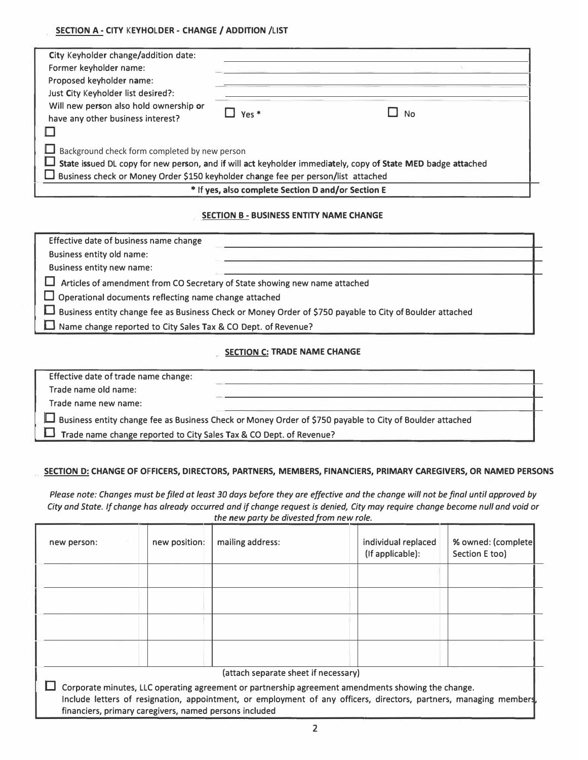### SECTION A - CITY KEYHOLDER - CHANGE / ADDITION /LIST

| City Keyholder change/addition date:<br>Former keyholder name:<br>Proposed keyholder name:<br>Just City Keyholder list desired?:                                                                  |                          |           |  |  |  |
|---------------------------------------------------------------------------------------------------------------------------------------------------------------------------------------------------|--------------------------|-----------|--|--|--|
| Will new person also hold ownership or<br>have any other business interest?                                                                                                                       | $\perp$ Yes <sup>*</sup> | <b>No</b> |  |  |  |
| Background check form completed by new person                                                                                                                                                     |                          |           |  |  |  |
| State issued DL copy for new person, and if will act keyholder immediately, copy of State MED badge attached<br>Business check or Money Order \$150 keyholder change fee per person/list attached |                          |           |  |  |  |
| * If yes, also complete Section D and/or Section E                                                                                                                                                |                          |           |  |  |  |

### **SECTION B - BUSINESS ENTITY NAME CHANGE**

| Effective date of business name change                                                                   |  |
|----------------------------------------------------------------------------------------------------------|--|
| Business entity old name:                                                                                |  |
| <b>Business entity new name:</b>                                                                         |  |
| Articles of amendment from CO Secretary of State showing new name attached                               |  |
| $\Box$ Operational documents reflecting name change attached                                             |  |
| Business entity change fee as Business Check or Money Order of \$750 payable to City of Boulder attached |  |
| Name change reported to City Sales Tax & CO Dept. of Revenue?                                            |  |

## **SECTION C: TRADE NAME CHANGE**

| Effective date of trade name change:                                |                                                                                                          |
|---------------------------------------------------------------------|----------------------------------------------------------------------------------------------------------|
| Trade name old name:                                                |                                                                                                          |
| Trade name new name:                                                |                                                                                                          |
|                                                                     | Business entity change fee as Business Check or Money Order of \$750 payable to City of Boulder attached |
| Trade name change reported to City Sales Tax & CO Dept. of Revenue? |                                                                                                          |
|                                                                     |                                                                                                          |

### SECTION D: CHANGE OF OFFICERS, DIRECTORS, PARTNERS, MEMBERS, FINANCIERS, PRIMARY CAREGIVERS, OR NAMED PERSONS

*Please note: Changes must be filed at least 30 days before they are effective and the change will not be final until approved by City and State. If change has already occurred and if change request is denied, City may require change become null and void or the new party be divested from new role.* 

| new person:                                            | new position: | mailing address:                                                                                                                                                                                                         | individual replaced<br>(If applicable): | % owned: (complete)<br>Section E too) |
|--------------------------------------------------------|---------------|--------------------------------------------------------------------------------------------------------------------------------------------------------------------------------------------------------------------------|-----------------------------------------|---------------------------------------|
|                                                        |               |                                                                                                                                                                                                                          |                                         |                                       |
|                                                        |               |                                                                                                                                                                                                                          |                                         |                                       |
|                                                        |               |                                                                                                                                                                                                                          |                                         |                                       |
|                                                        |               |                                                                                                                                                                                                                          |                                         |                                       |
|                                                        |               | (attach separate sheet if necessary)                                                                                                                                                                                     |                                         |                                       |
| financiers, primary caregivers, named persons included |               | Corporate minutes, LLC operating agreement or partnership agreement amendments showing the change.<br>Include letters of resignation, appointment, or employment of any officers, directors, partners, managing members, |                                         |                                       |